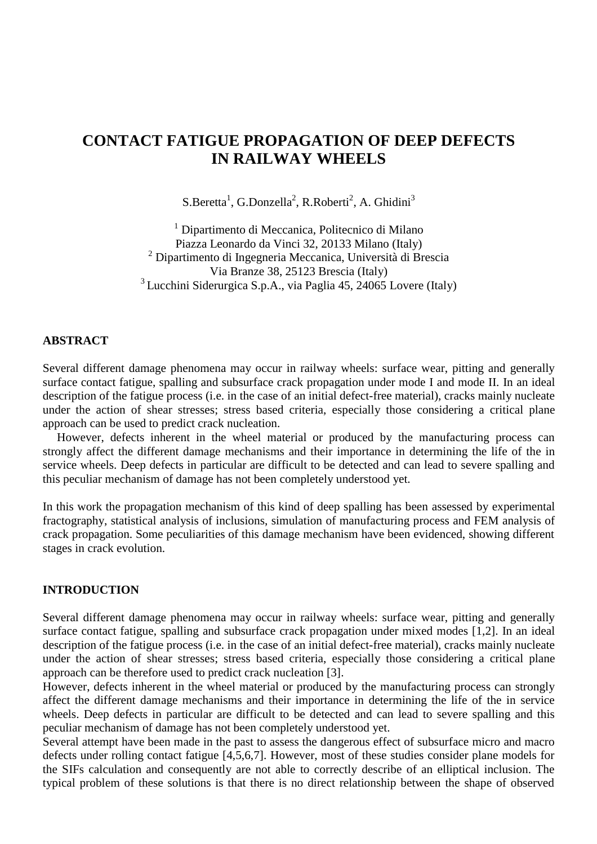# **CONTACT FATIGUE PROPAGATION OF DEEP DEFECTS IN RAILWAY WHEELS**

 $S.Beretta<sup>1</sup>, G.Donzella<sup>2</sup>, R.Roberti<sup>2</sup>, A. Ghidini<sup>3</sup>$ 

1 Dipartimento di Meccanica, Politecnico di Milano Piazza Leonardo da Vinci 32, 20133 Milano (Italy) <sup>2</sup> Dipartimento di Ingegneria Meccanica, Università di Brescia Via Branze 38, 25123 Brescia (Italy)  $3$  Lucchini Siderurgica S.p.A., via Paglia 45, 24065 Lovere (Italy)

#### **ABSTRACT**

Several different damage phenomena may occur in railway wheels: surface wear, pitting and generally surface contact fatigue, spalling and subsurface crack propagation under mode I and mode II. In an ideal description of the fatigue process (i.e. in the case of an initial defect-free material), cracks mainly nucleate under the action of shear stresses; stress based criteria, especially those considering a critical plane approach can be used to predict crack nucleation.

However, defects inherent in the wheel material or produced by the manufacturing process can strongly affect the different damage mechanisms and their importance in determining the life of the in service wheels. Deep defects in particular are difficult to be detected and can lead to severe spalling and this peculiar mechanism of damage has not been completely understood yet.

In this work the propagation mechanism of this kind of deep spalling has been assessed by experimental fractography, statistical analysis of inclusions, simulation of manufacturing process and FEM analysis of crack propagation. Some peculiarities of this damage mechanism have been evidenced, showing different stages in crack evolution.

## **INTRODUCTION**

Several different damage phenomena may occur in railway wheels: surface wear, pitting and generally surface contact fatigue, spalling and subsurface crack propagation under mixed modes [1,2]. In an ideal description of the fatigue process (i.e. in the case of an initial defect-free material), cracks mainly nucleate under the action of shear stresses; stress based criteria, especially those considering a critical plane approach can be therefore used to predict crack nucleation [3].

However, defects inherent in the wheel material or produced by the manufacturing process can strongly affect the different damage mechanisms and their importance in determining the life of the in service wheels. Deep defects in particular are difficult to be detected and can lead to severe spalling and this peculiar mechanism of damage has not been completely understood yet.

Several attempt have been made in the past to assess the dangerous effect of subsurface micro and macro defects under rolling contact fatigue [4,5,6,7]. However, most of these studies consider plane models for the SIFs calculation and consequently are not able to correctly describe of an elliptical inclusion. The typical problem of these solutions is that there is no direct relationship between the shape of observed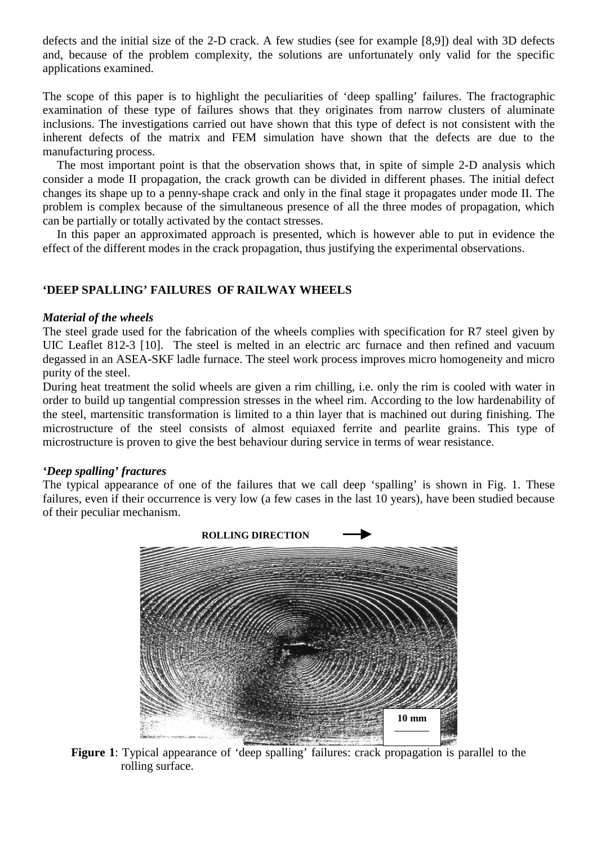defects and the initial size of the 2-D crack. A few studies (see for example [8,9]) deal with 3D defects and, because of the problem complexity, the solutions are unfortunately only valid for the specific applications examined.

The scope of this paper is to highlight the peculiarities of 'deep spalling' failures. The fractographic examination of these type of failures shows that they originates from narrow clusters of aluminate inclusions. The investigations carried out have shown that this type of defect is not consistent with the inherent defects of the matrix and FEM simulation have shown that the defects are due to the manufacturing process.

The most important point is that the observation shows that, in spite of simple 2-D analysis which consider a mode II propagation, the crack growth can be divided in different phases. The initial defect changes its shape up to a penny-shape crack and only in the final stage it propagates under mode II. The problem is complex because of the simultaneous presence of all the three modes of propagation, which can be partially or totally activated by the contact stresses.

In this paper an approximated approach is presented, which is however able to put in evidence the effect of the different modes in the crack propagation, thus justifying the experimental observations.

# **'DEEP SPALLING' FAILURES OF RAILWAY WHEELS**

#### *Material of the wheels*

The steel grade used for the fabrication of the wheels complies with specification for R7 steel given by UIC Leaflet 812-3 [10]. The steel is melted in an electric arc furnace and then refined and vacuum degassed in an ASEA-SKF ladle furnace. The steel work process improves micro homogeneity and micro purity of the steel.

During heat treatment the solid wheels are given a rim chilling, i.e. only the rim is cooled with water in order to build up tangential compression stresses in the wheel rim. According to the low hardenability of the steel, martensitic transformation is limited to a thin layer that is machined out during finishing. The microstructure of the steel consists of almost equiaxed ferrite and pearlite grains. This type of microstructure is proven to give the best behaviour during service in terms of wear resistance.

## *'Deep spalling' fractures*

The typical appearance of one of the failures that we call deep 'spalling' is shown in Fig. 1. These failures, even if their occurrence is very low (a few cases in the last 10 years), have been studied because of their peculiar mechanism.



Figure 1: Typical appearance of 'deep spalling' failures: crack propagation is parallel to the rolling surface.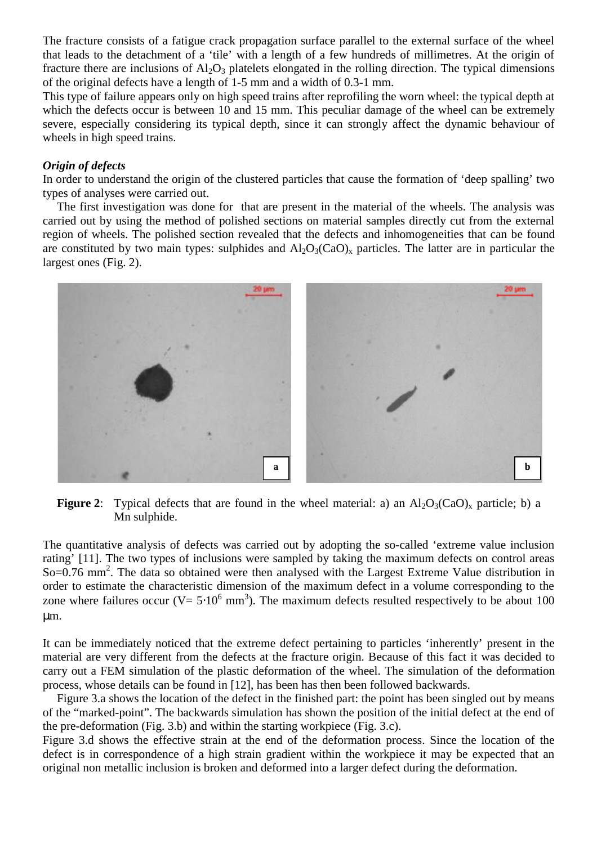The fracture consists of a fatigue crack propagation surface parallel to the external surface of the wheel that leads to the detachment of a 'tile' with a length of a few hundreds of millimetres. At the origin of fracture there are inclusions of  $Al_2O_3$  platelets elongated in the rolling direction. The typical dimensions of the original defects have a length of 1-5 mm and a width of 0.3-1 mm.

This type of failure appears only on high speed trains after reprofiling the worn wheel: the typical depth at which the defects occur is between 10 and 15 mm. This peculiar damage of the wheel can be extremely severe, especially considering its typical depth, since it can strongly affect the dynamic behaviour of wheels in high speed trains.

#### *Origin of defects*

In order to understand the origin of the clustered particles that cause the formation of 'deep spalling' two types of analyses were carried out.

The first investigation was done for that are present in the material of the wheels. The analysis was carried out by using the method of polished sections on material samples directly cut from the external region of wheels. The polished section revealed that the defects and inhomogeneities that can be found are constituted by two main types: sulphides and  $Al_2O_3(CaO)_x$  particles. The latter are in particular the largest ones (Fig. 2).



**Figure 2:** Typical defects that are found in the wheel material: a) an  $A_1O_3(CaO)_x$  particle; b) a Mn sulphide.

The quantitative analysis of defects was carried out by adopting the so-called 'extreme value inclusion rating' [11]. The two types of inclusions were sampled by taking the maximum defects on control areas So=0.76 mm<sup>2</sup>. The data so obtained were then analysed with the Largest Extreme Value distribution in order to estimate the characteristic dimension of the maximum defect in a volume corresponding to the zone where failures occur ( $V = 5.10^6$  mm<sup>3</sup>). The maximum defects resulted respectively to be about 100 µm.

It can be immediately noticed that the extreme defect pertaining to particles 'inherently' present in the material are very different from the defects at the fracture origin. Because of this fact it was decided to carry out a FEM simulation of the plastic deformation of the wheel. The simulation of the deformation process, whose details can be found in [12], has been has then been followed backwards.

Figure 3.a shows the location of the defect in the finished part: the point has been singled out by means of the "marked-point". The backwards simulation has shown the position of the initial defect at the end of the pre-deformation (Fig. 3.b) and within the starting workpiece (Fig. 3.c).

Figure 3.d shows the effective strain at the end of the deformation process. Since the location of the defect is in correspondence of a high strain gradient within the workpiece it may be expected that an original non metallic inclusion is broken and deformed into a larger defect during the deformation.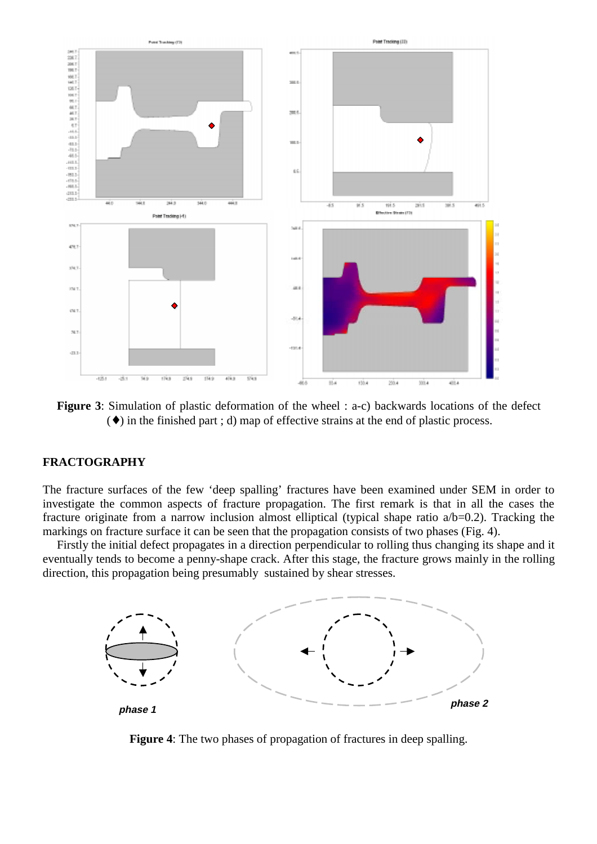

**Figure 3**: Simulation of plastic deformation of the wheel : a-c) backwards locations of the defect (♦) in the finished part ; d) map of effective strains at the end of plastic process.

#### **FRACTOGRAPHY**

The fracture surfaces of the few 'deep spalling' fractures have been examined under SEM in order to investigate the common aspects of fracture propagation. The first remark is that in all the cases the fracture originate from a narrow inclusion almost elliptical (typical shape ratio a/b=0.2). Tracking the markings on fracture surface it can be seen that the propagation consists of two phases (Fig. 4).

Firstly the initial defect propagates in a direction perpendicular to rolling thus changing its shape and it eventually tends to become a penny-shape crack. After this stage, the fracture grows mainly in the rolling direction, this propagation being presumably sustained by shear stresses.



**Figure 4**: The two phases of propagation of fractures in deep spalling.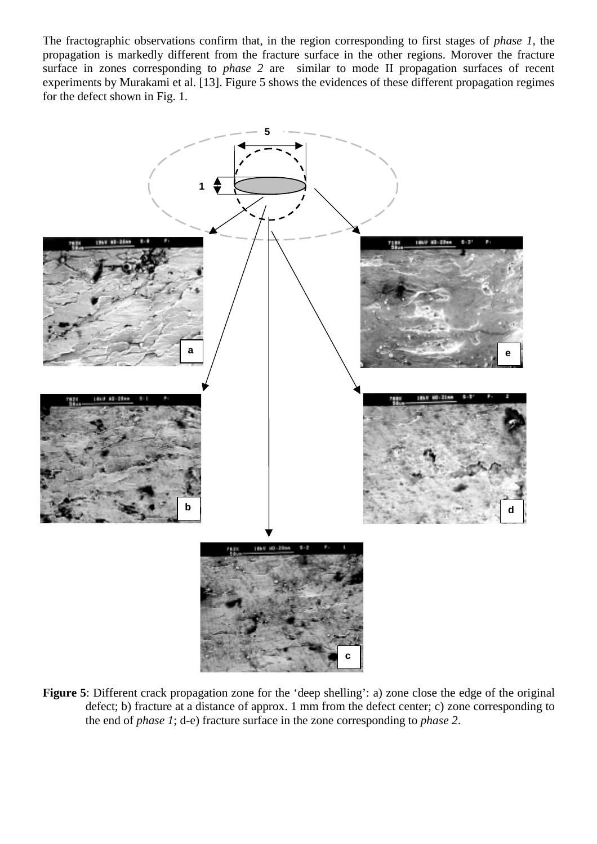The fractographic observations confirm that, in the region corresponding to first stages of *phase 1*, the propagation is markedly different from the fracture surface in the other regions. Morover the fracture surface in zones corresponding to *phase 2* are similar to mode II propagation surfaces of recent experiments by Murakami et al. [13]. Figure 5 shows the evidences of these different propagation regimes for the defect shown in Fig. 1.



Figure 5: Different crack propagation zone for the 'deep shelling': a) zone close the edge of the original defect; b) fracture at a distance of approx. 1 mm from the defect center; c) zone corresponding to the end of *phase 1*; d-e) fracture surface in the zone corresponding to *phase 2*.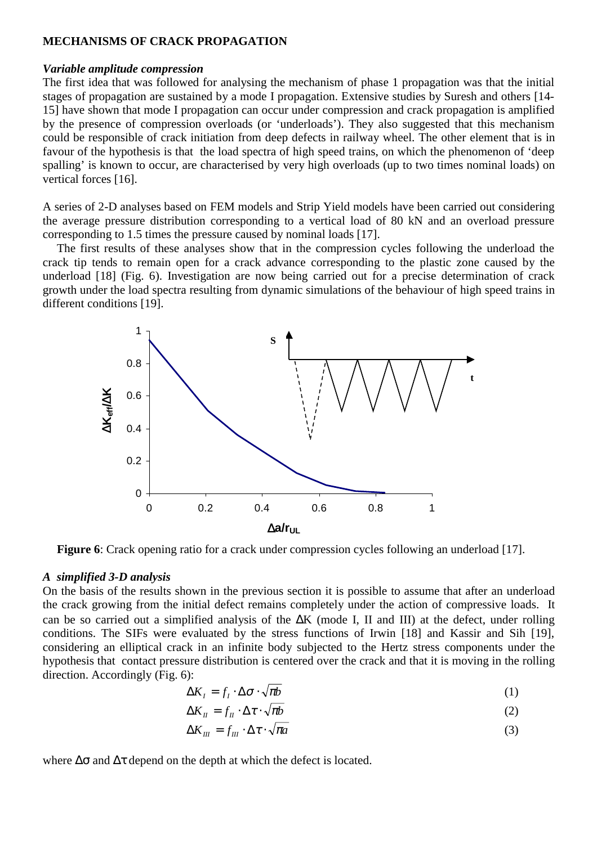#### **MECHANISMS OF CRACK PROPAGATION**

#### *Variable amplitude compression*

The first idea that was followed for analysing the mechanism of phase 1 propagation was that the initial stages of propagation are sustained by a mode I propagation. Extensive studies by Suresh and others [14- 15] have shown that mode I propagation can occur under compression and crack propagation is amplified by the presence of compression overloads (or 'underloads'). They also suggested that this mechanism could be responsible of crack initiation from deep defects in railway wheel. The other element that is in favour of the hypothesis is that the load spectra of high speed trains, on which the phenomenon of 'deep spalling' is known to occur, are characterised by very high overloads (up to two times nominal loads) on vertical forces [16].

A series of 2-D analyses based on FEM models and Strip Yield models have been carried out considering the average pressure distribution corresponding to a vertical load of 80 kN and an overload pressure corresponding to 1.5 times the pressure caused by nominal loads [17].

The first results of these analyses show that in the compression cycles following the underload the crack tip tends to remain open for a crack advance corresponding to the plastic zone caused by the underload [18] (Fig. 6). Investigation are now being carried out for a precise determination of crack growth under the load spectra resulting from dynamic simulations of the behaviour of high speed trains in different conditions [19].



**Figure 6**: Crack opening ratio for a crack under compression cycles following an underload [17].

#### *A simplified 3-D analysis*

On the basis of the results shown in the previous section it is possible to assume that after an underload the crack growing from the initial defect remains completely under the action of compressive loads. It can be so carried out a simplified analysis of the ∆K (mode I, II and III) at the defect, under rolling conditions. The SIFs were evaluated by the stress functions of Irwin [18] and Kassir and Sih [19], considering an elliptical crack in an infinite body subjected to the Hertz stress components under the hypothesis that contact pressure distribution is centered over the crack and that it is moving in the rolling direction. Accordingly (Fig. 6):

$$
\Delta K_I = f_I \cdot \Delta \sigma \cdot \sqrt{\pi b} \tag{1}
$$

$$
\Delta K_{\scriptscriptstyle \text{II}} = f_{\scriptscriptstyle \text{II}} \cdot \Delta \tau \cdot \sqrt{\pi b} \tag{2}
$$

$$
\Delta K_{III} = f_{III} \cdot \Delta \tau \cdot \sqrt{\pi a} \tag{3}
$$

where  $\Delta \sigma$  and  $\Delta \tau$  depend on the depth at which the defect is located.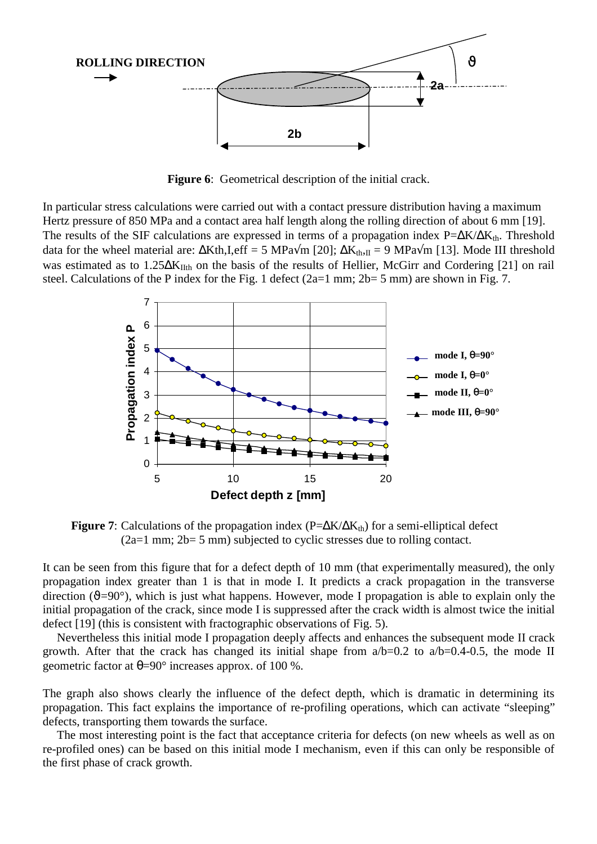

**Figure 6:** Geometrical description of the initial crack.

In particular stress calculations were carried out with a contact pressure distribution having a maximum Hertz pressure of 850 MPa and a contact area half length along the rolling direction of about 6 mm [19]. The results of the SIF calculations are expressed in terms of a propagation index  $P=\Delta K/\Delta K_{th}$ . Threshold data for the wheel material are:  $\Delta$ Kth,I,eff = 5 MPa $\sqrt{m}$  [20];  $\Delta K_{th}$ <sub>II</sub> = 9 MPa $\sqrt{m}$  [13]. Mode III threshold was estimated as to 1.25∆K<sub>IIth</sub> on the basis of the results of Hellier, McGirr and Cordering [21] on rail steel. Calculations of the P index for the Fig. 1 defect (2a=1 mm; 2b= 5 mm) are shown in Fig. 7.



**Figure 7:** Calculations of the propagation index ( $P=\Delta K/\Delta K_{th}$ ) for a semi-elliptical defect (2a=1 mm; 2b= 5 mm) subjected to cyclic stresses due to rolling contact.

It can be seen from this figure that for a defect depth of 10 mm (that experimentally measured), the only propagation index greater than 1 is that in mode I. It predicts a crack propagation in the transverse direction ( $\vartheta$ =90°), which is just what happens. However, mode I propagation is able to explain only the initial propagation of the crack, since mode I is suppressed after the crack width is almost twice the initial defect [19] (this is consistent with fractographic observations of Fig. 5).

Nevertheless this initial mode I propagation deeply affects and enhances the subsequent mode II crack growth. After that the crack has changed its initial shape from  $a/b=0.2$  to  $a/b=0.4-0.5$ , the mode II geometric factor at  $\theta = 90^\circ$  increases approx. of 100 %.

The graph also shows clearly the influence of the defect depth, which is dramatic in determining its propagation. This fact explains the importance of re-profiling operations, which can activate "sleeping" defects, transporting them towards the surface.

The most interesting point is the fact that acceptance criteria for defects (on new wheels as well as on re-profiled ones) can be based on this initial mode I mechanism, even if this can only be responsible of the first phase of crack growth.